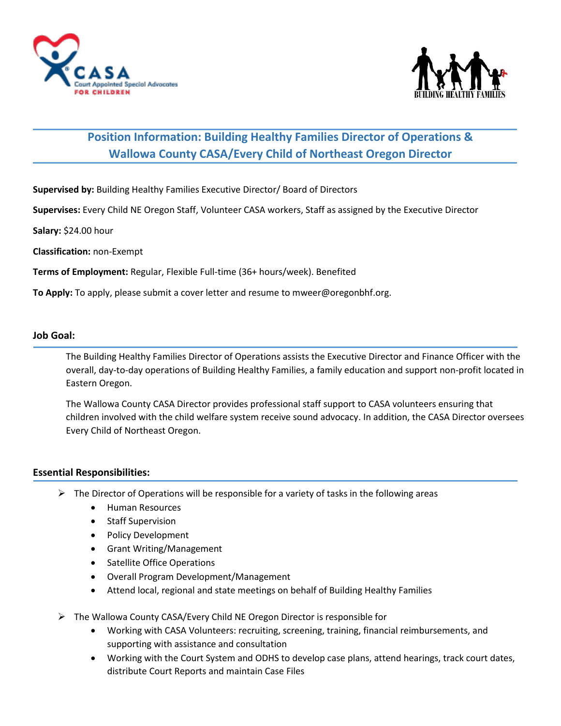



# **Position Information: Building Healthy Families Director of Operations & Wallowa County CASA/Every Child of Northeast Oregon Director**

**Supervised by:** Building Healthy Families Executive Director/ Board of Directors

**Supervises:** Every Child NE Oregon Staff, Volunteer CASA workers, Staff as assigned by the Executive Director

**Salary:** \$24.00 hour

**Classification:** non-Exempt

**Terms of Employment:** Regular, Flexible Full-time (36+ hours/week). Benefited

**To Apply:** To apply, please submit a cover letter and resume to mweer@oregonbhf.org.

## **Job Goal:**

The Building Healthy Families Director of Operations assists the Executive Director and Finance Officer with the overall, day-to-day operations of Building Healthy Families, a family education and support non-profit located in Eastern Oregon.

The Wallowa County CASA Director provides professional staff support to CASA volunteers ensuring that children involved with the child welfare system receive sound advocacy. In addition, the CASA Director oversees Every Child of Northeast Oregon.

#### **Essential Responsibilities:**

- $\triangleright$  The Director of Operations will be responsible for a variety of tasks in the following areas
	- Human Resources
	- Staff Supervision
	- Policy Development
	- Grant Writing/Management
	- Satellite Office Operations
	- Overall Program Development/Management
	- Attend local, regional and state meetings on behalf of Building Healthy Families
- ➢ The Wallowa County CASA/Every Child NE Oregon Director is responsible for
	- Working with CASA Volunteers: recruiting, screening, training, financial reimbursements, and supporting with assistance and consultation
	- Working with the Court System and ODHS to develop case plans, attend hearings, track court dates, distribute Court Reports and maintain Case Files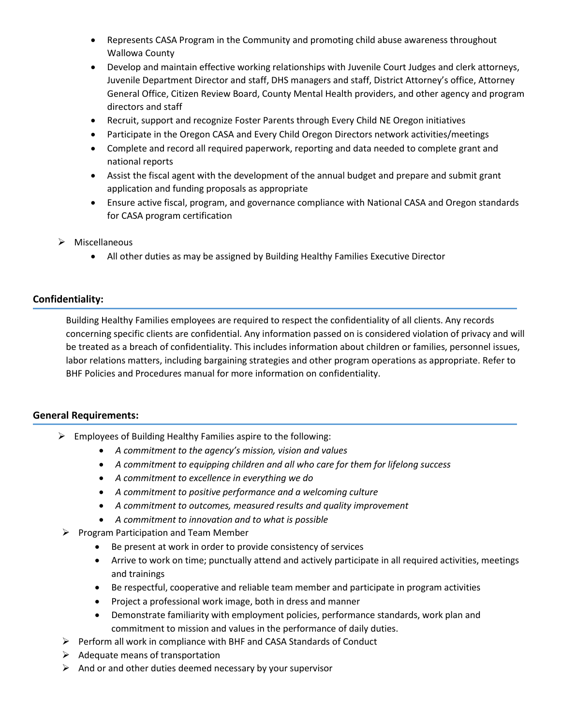- Represents CASA Program in the Community and promoting child abuse awareness throughout Wallowa County
- Develop and maintain effective working relationships with Juvenile Court Judges and clerk attorneys, Juvenile Department Director and staff, DHS managers and staff, District Attorney's office, Attorney General Office, Citizen Review Board, County Mental Health providers, and other agency and program directors and staff
- Recruit, support and recognize Foster Parents through Every Child NE Oregon initiatives
- Participate in the Oregon CASA and Every Child Oregon Directors network activities/meetings
- Complete and record all required paperwork, reporting and data needed to complete grant and national reports
- Assist the fiscal agent with the development of the annual budget and prepare and submit grant application and funding proposals as appropriate
- Ensure active fiscal, program, and governance compliance with National CASA and Oregon standards for CASA program certification
- ➢ Miscellaneous
	- All other duties as may be assigned by Building Healthy Families Executive Director

# **Confidentiality:**

Building Healthy Families employees are required to respect the confidentiality of all clients. Any records concerning specific clients are confidential. Any information passed on is considered violation of privacy and will be treated as a breach of confidentiality. This includes information about children or families, personnel issues, labor relations matters, including bargaining strategies and other program operations as appropriate. Refer to BHF Policies and Procedures manual for more information on confidentiality.

# **General Requirements:**

- ➢ Employees of Building Healthy Families aspire to the following:
	- *A commitment to the agency's mission, vision and values*
	- *A commitment to equipping children and all who care for them for lifelong success*
	- *A commitment to excellence in everything we do*
	- *A commitment to positive performance and a welcoming culture*
	- *A commitment to outcomes, measured results and quality improvement*
	- *A commitment to innovation and to what is possible*
- ➢ Program Participation and Team Member
	- Be present at work in order to provide consistency of services
	- Arrive to work on time; punctually attend and actively participate in all required activities, meetings and trainings
	- Be respectful, cooperative and reliable team member and participate in program activities
	- Project a professional work image, both in dress and manner
	- Demonstrate familiarity with employment policies, performance standards, work plan and commitment to mission and values in the performance of daily duties.
- ➢ Perform all work in compliance with BHF and CASA Standards of Conduct
- $\triangleright$  Adequate means of transportation
- $\triangleright$  And or and other duties deemed necessary by your supervisor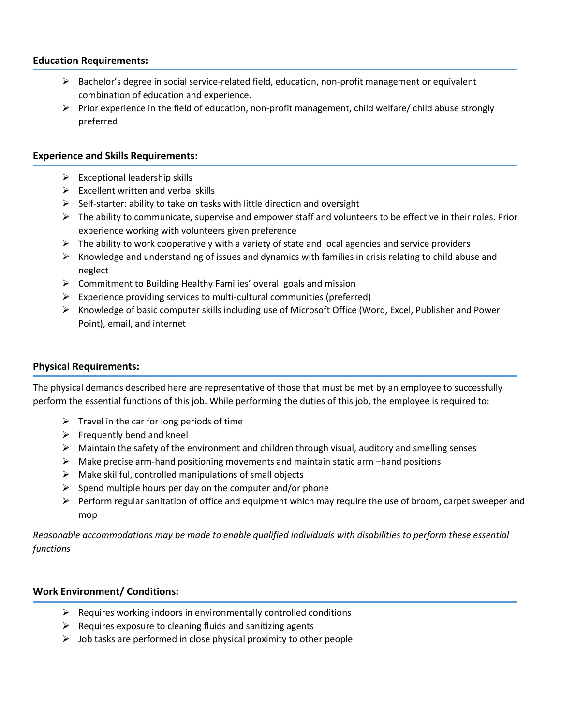## **Education Requirements:**

- $\triangleright$  Bachelor's degree in social service-related field, education, non-profit management or equivalent combination of education and experience.
- $\triangleright$  Prior experience in the field of education, non-profit management, child welfare/ child abuse strongly preferred

#### **Experience and Skills Requirements:**

- $\triangleright$  Exceptional leadership skills
- $\triangleright$  Excellent written and verbal skills
- $\triangleright$  Self-starter: ability to take on tasks with little direction and oversight
- $\triangleright$  The ability to communicate, supervise and empower staff and volunteers to be effective in their roles. Prior experience working with volunteers given preference
- $\triangleright$  The ability to work cooperatively with a variety of state and local agencies and service providers
- ➢ Knowledge and understanding of issues and dynamics with families in crisis relating to child abuse and neglect
- $\triangleright$  Commitment to Building Healthy Families' overall goals and mission
- ➢ Experience providing services to multi-cultural communities (preferred)
- ➢ Knowledge of basic computer skills including use of Microsoft Office (Word, Excel, Publisher and Power Point), email, and internet

## **Physical Requirements:**

The physical demands described here are representative of those that must be met by an employee to successfully perform the essential functions of this job. While performing the duties of this job, the employee is required to:

- $\triangleright$  Travel in the car for long periods of time
- $\triangleright$  Frequently bend and kneel
- ➢ Maintain the safety of the environment and children through visual, auditory and smelling senses
- $\triangleright$  Make precise arm-hand positioning movements and maintain static arm –hand positions
- $\triangleright$  Make skillful, controlled manipulations of small objects
- $\triangleright$  Spend multiple hours per day on the computer and/or phone
- ➢ Perform regular sanitation of office and equipment which may require the use of broom, carpet sweeper and mop

*Reasonable accommodations may be made to enable qualified individuals with disabilities to perform these essential functions*

### **Work Environment/ Conditions:**

- $\triangleright$  Requires working indoors in environmentally controlled conditions
- $\triangleright$  Requires exposure to cleaning fluids and sanitizing agents
- $\triangleright$  Job tasks are performed in close physical proximity to other people